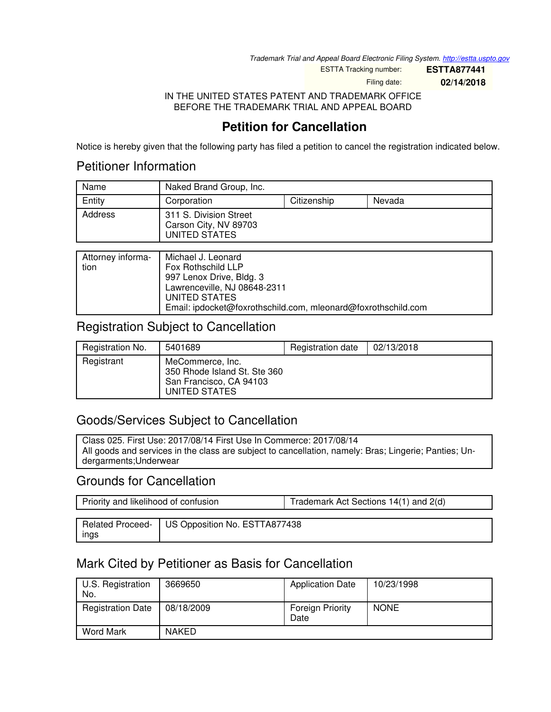*Trademark Trial and Appeal Board Electronic Filing System. <http://estta.uspto.gov>*

ESTTA Tracking number: **ESTTA877441**

Filing date: **02/14/2018**

IN THE UNITED STATES PATENT AND TRADEMARK OFFICE BEFORE THE TRADEMARK TRIAL AND APPEAL BOARD

# **Petition for Cancellation**

Notice is hereby given that the following party has filed a petition to cancel the registration indicated below.

## Petitioner Information

| Name    | Naked Brand Group, Inc.                                          |             |        |
|---------|------------------------------------------------------------------|-------------|--------|
| Entity  | Corporation                                                      | Citizenship | Nevada |
| Address | 311 S. Division Street<br>Carson City, NV 89703<br>UNITED STATES |             |        |

| Attorney informa-<br>tion | Michael J. Leonard<br>Fox Rothschild LLP                                       |
|---------------------------|--------------------------------------------------------------------------------|
|                           | 997 Lenox Drive, Bldg. 3<br>Lawrenceville, NJ 08648-2311                       |
|                           | UNITED STATES<br>Email: ipdocket@foxrothschild.com, mleonard@foxrothschild.com |

## Registration Subject to Cancellation

| Registration No. | 5401689                                                                                      | Registration date | 02/13/2018 |
|------------------|----------------------------------------------------------------------------------------------|-------------------|------------|
| Registrant       | MeCommerce, Inc.<br>350 Rhode Island St. Ste 360<br>San Francisco, CA 94103<br>UNITED STATES |                   |            |

# Goods/Services Subject to Cancellation

Class 025. First Use: 2017/08/14 First Use In Commerce: 2017/08/14 All goods and services in the class are subject to cancellation, namely: Bras; Lingerie; Panties; Undergarments;Underwear

## Grounds for Cancellation

| Priority and likelihood of confusion |                                                  | Trademark Act Sections 14(1) and 2(d) |  |
|--------------------------------------|--------------------------------------------------|---------------------------------------|--|
|                                      |                                                  |                                       |  |
|                                      | Related Proceed-   US Opposition No. ESTTA877438 |                                       |  |
| ings                                 |                                                  |                                       |  |

# Mark Cited by Petitioner as Basis for Cancellation

| U.S. Registration<br>No. | 3669650      | <b>Application Date</b>  | 10/23/1998  |
|--------------------------|--------------|--------------------------|-------------|
| <b>Registration Date</b> | 08/18/2009   | Foreign Priority<br>Date | <b>NONE</b> |
| <b>Word Mark</b>         | <b>NAKED</b> |                          |             |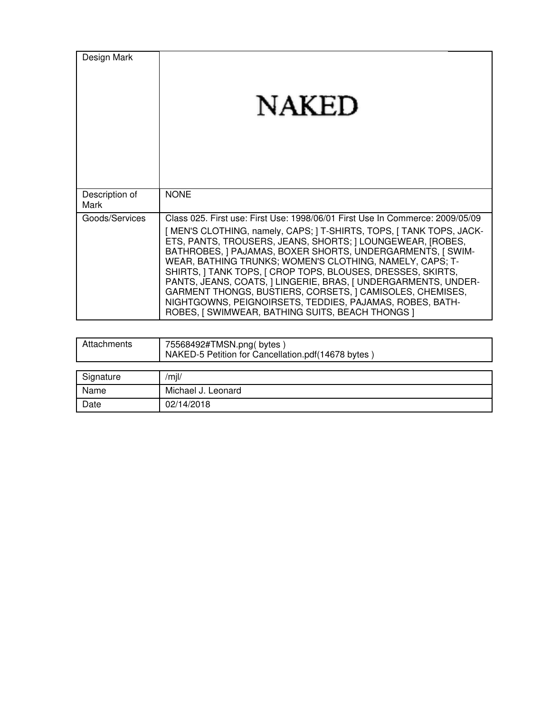| Design Mark            | <b>NAKED</b>                                                                                                                                                                                                                                                                                                                                                                                                                                                                                                                                                                                                                                                |
|------------------------|-------------------------------------------------------------------------------------------------------------------------------------------------------------------------------------------------------------------------------------------------------------------------------------------------------------------------------------------------------------------------------------------------------------------------------------------------------------------------------------------------------------------------------------------------------------------------------------------------------------------------------------------------------------|
| Description of<br>Mark | <b>NONE</b>                                                                                                                                                                                                                                                                                                                                                                                                                                                                                                                                                                                                                                                 |
| Goods/Services         | Class 025. First use: First Use: 1998/06/01 First Use In Commerce: 2009/05/09<br>[ MEN'S CLOTHING, namely, CAPS; ] T-SHIRTS, TOPS, [ TANK TOPS, JACK-<br>ETS, PANTS, TROUSERS, JEANS, SHORTS;   LOUNGEWEAR, [ROBES,<br>BATHROBES, J PAJAMAS, BOXER SHORTS, UNDERGARMENTS, J SWIM-<br>WEAR, BATHING TRUNKS; WOMEN'S CLOTHING, NAMELY, CAPS; T-<br>SHIRTS, I TANK TOPS, I CROP TOPS, BLOUSES, DRESSES, SKIRTS,<br>PANTS, JEANS, COATS,   LINGERIE, BRAS,   UNDERGARMENTS, UNDER-<br>GARMENT THONGS, BUSTIERS, CORSETS, J CAMISOLES, CHEMISES,<br>NIGHTGOWNS, PEIGNOIRSETS, TEDDIES, PAJAMAS, ROBES, BATH-<br>ROBES, I SWIMWEAR, BATHING SUITS, BEACH THONGS I |

| Attachments | 75568492#TMSN.png(bytes)<br>NAKED-5 Petition for Cancellation.pdf(14678 bytes) |
|-------------|--------------------------------------------------------------------------------|
|             |                                                                                |
| Signature   | /m  /                                                                          |
| Name        | Michael J. Leonard                                                             |
| Date        | 02/14/2018                                                                     |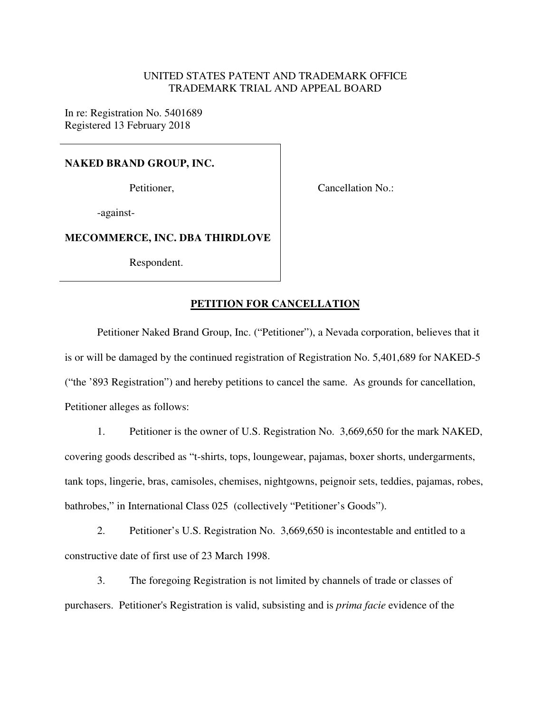#### UNITED STATES PATENT AND TRADEMARK OFFICE TRADEMARK TRIAL AND APPEAL BOARD

In re: Registration No. 5401689 Registered 13 February 2018

#### **NAKED BRAND GROUP, INC.**

Petitioner,

Cancellation No.:

-against-

#### **MECOMMERCE, INC. DBA THIRDLOVE**

Respondent.

### **PETITION FOR CANCELLATION**

Petitioner Naked Brand Group, Inc. ("Petitioner"), a Nevada corporation, believes that it is or will be damaged by the continued registration of Registration No. 5,401,689 for NAKED-5 ("the '893 Registration") and hereby petitions to cancel the same. As grounds for cancellation, Petitioner alleges as follows:

1. Petitioner is the owner of U.S. Registration No. 3,669,650 for the mark NAKED, covering goods described as "t-shirts, tops, loungewear, pajamas, boxer shorts, undergarments, tank tops, lingerie, bras, camisoles, chemises, nightgowns, peignoir sets, teddies, pajamas, robes, bathrobes," in International Class 025 (collectively "Petitioner's Goods").

2. Petitioner's U.S. Registration No. 3,669,650 is incontestable and entitled to a constructive date of first use of 23 March 1998.

3. The foregoing Registration is not limited by channels of trade or classes of purchasers. Petitioner's Registration is valid, subsisting and is *prima facie* evidence of the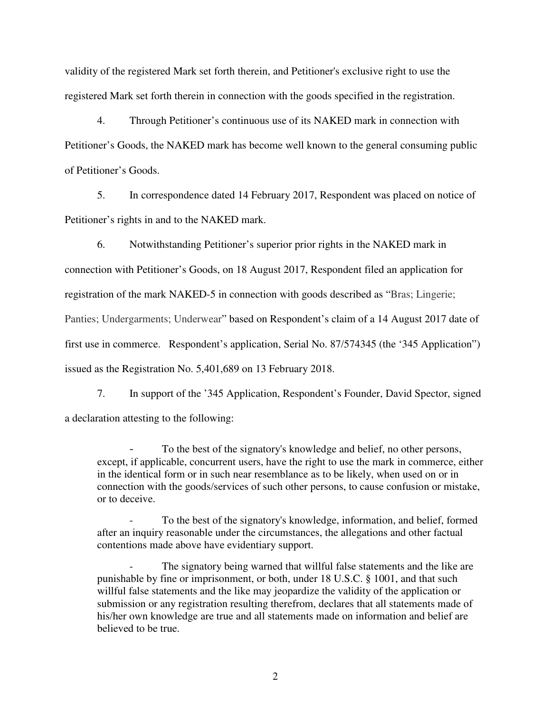validity of the registered Mark set forth therein, and Petitioner's exclusive right to use the registered Mark set forth therein in connection with the goods specified in the registration.

4. Through Petitioner's continuous use of its NAKED mark in connection with Petitioner's Goods, the NAKED mark has become well known to the general consuming public of Petitioner's Goods.

5. In correspondence dated 14 February 2017, Respondent was placed on notice of Petitioner's rights in and to the NAKED mark.

6. Notwithstanding Petitioner's superior prior rights in the NAKED mark in connection with Petitioner's Goods, on 18 August 2017, Respondent filed an application for registration of the mark NAKED-5 in connection with goods described as "Bras; Lingerie; Panties; Undergarments; Underwear" based on Respondent's claim of a 14 August 2017 date of first use in commerce. Respondent's application, Serial No. 87/574345 (the '345 Application") issued as the Registration No. 5,401,689 on 13 February 2018.

7. In support of the '345 Application, Respondent's Founder, David Spector, signed a declaration attesting to the following:

To the best of the signatory's knowledge and belief, no other persons, except, if applicable, concurrent users, have the right to use the mark in commerce, either in the identical form or in such near resemblance as to be likely, when used on or in connection with the goods/services of such other persons, to cause confusion or mistake, or to deceive.

To the best of the signatory's knowledge, information, and belief, formed after an inquiry reasonable under the circumstances, the allegations and other factual contentions made above have evidentiary support.

The signatory being warned that willful false statements and the like are punishable by fine or imprisonment, or both, under 18 U.S.C. § 1001, and that such willful false statements and the like may jeopardize the validity of the application or submission or any registration resulting therefrom, declares that all statements made of his/her own knowledge are true and all statements made on information and belief are believed to be true.

2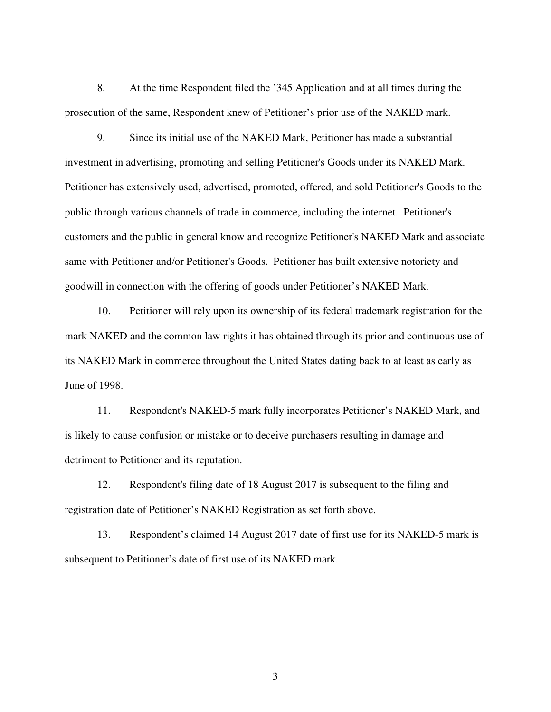8. At the time Respondent filed the '345 Application and at all times during the prosecution of the same, Respondent knew of Petitioner's prior use of the NAKED mark.

9. Since its initial use of the NAKED Mark, Petitioner has made a substantial investment in advertising, promoting and selling Petitioner's Goods under its NAKED Mark. Petitioner has extensively used, advertised, promoted, offered, and sold Petitioner's Goods to the public through various channels of trade in commerce, including the internet. Petitioner's customers and the public in general know and recognize Petitioner's NAKED Mark and associate same with Petitioner and/or Petitioner's Goods. Petitioner has built extensive notoriety and goodwill in connection with the offering of goods under Petitioner's NAKED Mark.

10. Petitioner will rely upon its ownership of its federal trademark registration for the mark NAKED and the common law rights it has obtained through its prior and continuous use of its NAKED Mark in commerce throughout the United States dating back to at least as early as June of 1998.

11. Respondent's NAKED-5 mark fully incorporates Petitioner's NAKED Mark, and is likely to cause confusion or mistake or to deceive purchasers resulting in damage and detriment to Petitioner and its reputation.

12. Respondent's filing date of 18 August 2017 is subsequent to the filing and registration date of Petitioner's NAKED Registration as set forth above.

13. Respondent's claimed 14 August 2017 date of first use for its NAKED-5 mark is subsequent to Petitioner's date of first use of its NAKED mark.

3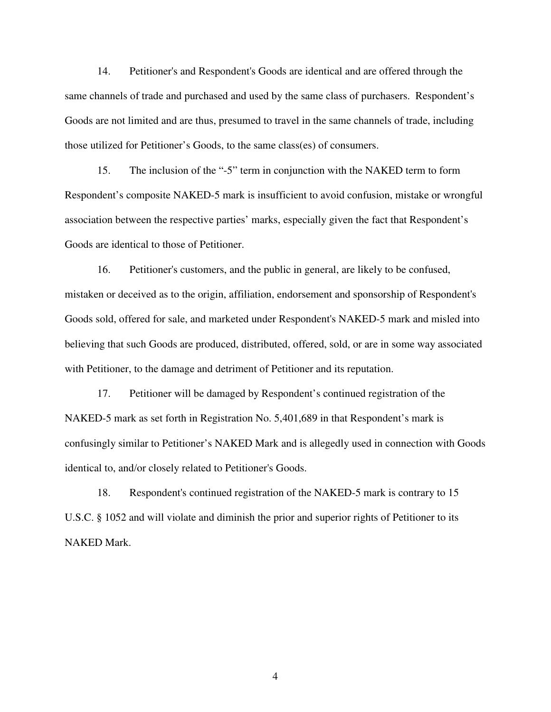14. Petitioner's and Respondent's Goods are identical and are offered through the same channels of trade and purchased and used by the same class of purchasers. Respondent's Goods are not limited and are thus, presumed to travel in the same channels of trade, including those utilized for Petitioner's Goods, to the same class(es) of consumers.

15. The inclusion of the "-5" term in conjunction with the NAKED term to form Respondent's composite NAKED-5 mark is insufficient to avoid confusion, mistake or wrongful association between the respective parties' marks, especially given the fact that Respondent's Goods are identical to those of Petitioner.

16. Petitioner's customers, and the public in general, are likely to be confused, mistaken or deceived as to the origin, affiliation, endorsement and sponsorship of Respondent's Goods sold, offered for sale, and marketed under Respondent's NAKED-5 mark and misled into believing that such Goods are produced, distributed, offered, sold, or are in some way associated with Petitioner, to the damage and detriment of Petitioner and its reputation.

17. Petitioner will be damaged by Respondent's continued registration of the NAKED-5 mark as set forth in Registration No. 5,401,689 in that Respondent's mark is confusingly similar to Petitioner's NAKED Mark and is allegedly used in connection with Goods identical to, and/or closely related to Petitioner's Goods.

18. Respondent's continued registration of the NAKED-5 mark is contrary to 15 U.S.C. § 1052 and will violate and diminish the prior and superior rights of Petitioner to its NAKED Mark.

4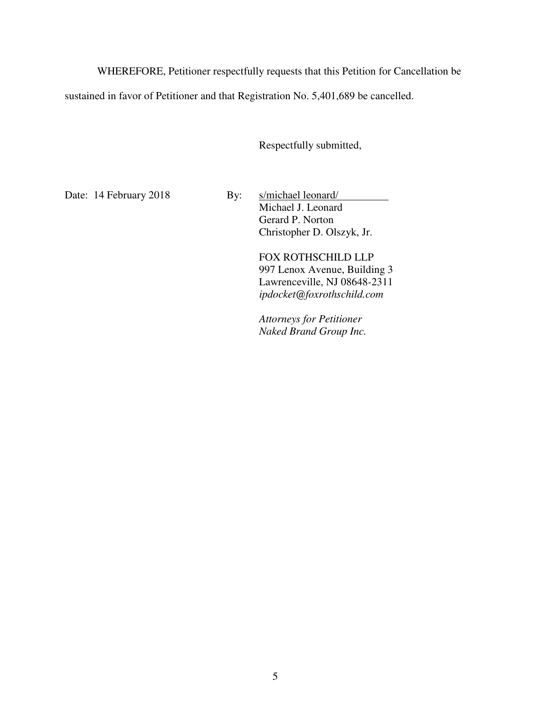WHEREFORE, Petitioner respectfully requests that this Petition for Cancellation be

sustained in favor of Petitioner and that Registration No. 5,401,689 be cancelled.

Respectfully submitted,

Date: 14 February 2018 By: s/michael leonard/ Michael J. Leonard Gerard P. Norton Christopher D. Olszyk, Jr.

> FOX ROTHSCHILD LLP 997 Lenox Avenue, Building 3 Lawrenceville, NJ 08648-2311 *ipdocket@foxrothschild.com*

*Attorneys for Petitioner Naked Brand Group Inc.*